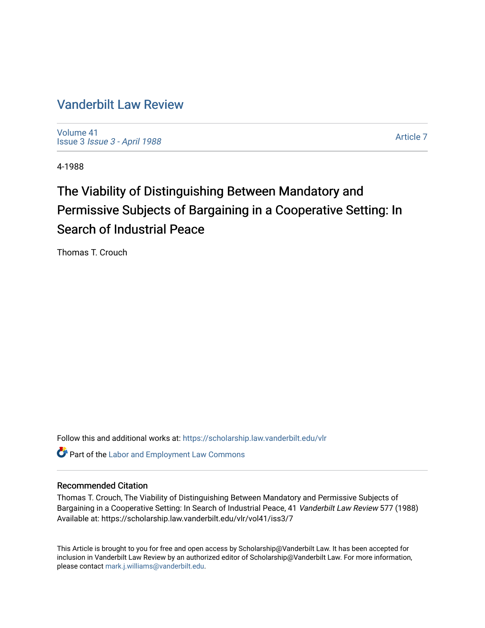## [Vanderbilt Law Review](https://scholarship.law.vanderbilt.edu/vlr)

[Volume 41](https://scholarship.law.vanderbilt.edu/vlr/vol41) Issue 3 [Issue 3 - April 1988](https://scholarship.law.vanderbilt.edu/vlr/vol41/iss3)

[Article 7](https://scholarship.law.vanderbilt.edu/vlr/vol41/iss3/7) 

4-1988

# The Viability of Distinguishing Between Mandatory and Permissive Subjects of Bargaining in a Cooperative Setting: In Search of Industrial Peace

Thomas T. Crouch

Follow this and additional works at: [https://scholarship.law.vanderbilt.edu/vlr](https://scholarship.law.vanderbilt.edu/vlr?utm_source=scholarship.law.vanderbilt.edu%2Fvlr%2Fvol41%2Fiss3%2F7&utm_medium=PDF&utm_campaign=PDFCoverPages)

**C** Part of the [Labor and Employment Law Commons](http://network.bepress.com/hgg/discipline/909?utm_source=scholarship.law.vanderbilt.edu%2Fvlr%2Fvol41%2Fiss3%2F7&utm_medium=PDF&utm_campaign=PDFCoverPages)

## Recommended Citation

Thomas T. Crouch, The Viability of Distinguishing Between Mandatory and Permissive Subjects of Bargaining in a Cooperative Setting: In Search of Industrial Peace, 41 Vanderbilt Law Review 577 (1988) Available at: https://scholarship.law.vanderbilt.edu/vlr/vol41/iss3/7

This Article is brought to you for free and open access by Scholarship@Vanderbilt Law. It has been accepted for inclusion in Vanderbilt Law Review by an authorized editor of Scholarship@Vanderbilt Law. For more information, please contact [mark.j.williams@vanderbilt.edu.](mailto:mark.j.williams@vanderbilt.edu)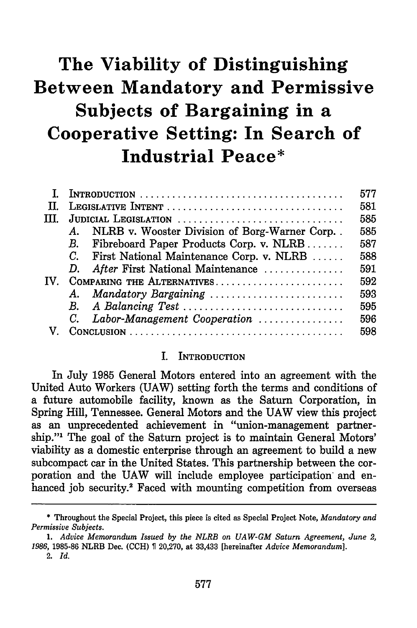# **The Viability of Distinguishing Between Mandatory and Permissive Subjects of Bargaining in a Cooperative Setting: In Search of Industrial Peace\***

|               |                                                                | 577 |
|---------------|----------------------------------------------------------------|-----|
| TT.           |                                                                | 581 |
| TH.           | JUDICIAL LEGISLATION                                           | 585 |
|               | NLRB v. Wooster Division of Borg-Warner Corp. .<br>$A_{\cdot}$ | 585 |
|               | B. Fibreboard Paper Products Corp. v. NLRB                     | 587 |
|               | $C_{\cdot}$<br>First National Maintenance Corp. v. NLRB        | 588 |
|               | After First National Maintenance<br>D.                         | 591 |
| $\mathbf{IV}$ | COMPARING THE ALTERNATIVES                                     | 592 |
|               | A. Mandatory Bargaining                                        | 593 |
|               | B. A Balancing Test                                            | 595 |
|               | $C_{\cdot}$<br>Labor-Management Cooperation                    | 596 |
|               |                                                                | 598 |

#### I. **INTRODUCTION**

In July **1985** General Motors entered into an agreement with the United Auto Workers **(UAW)** setting forth the terms and conditions of a future automobile facility, known as the Saturn Corporation, in Spring Hill, Tennessee. General Motors and the **UAW** view this project as an unprecedented achievement in "union-management partnership."1 The goal of the Saturn project is to maintain General Motors' **viability** as a domestic enterprise through an agreement to build a new subcompact car in the United States. This partnership between the corporation and the **UAW** will include employee participation and enhanced **job** security.2 Faced with mounting competition from overseas

2. *Id.*

<sup>\*</sup> Throughout the Special Project, this piece is cited as Special Project Note, *Mandatory and Permissive Subjects.*

*<sup>1.</sup> Advice Memorandum Issued by the NLRB on UAW-GM Saturn Agreement, June 2, 1986,* 1985-86 NLRB Dec. (CCH) T 20,270, at 33,433 [hereinafter *Advice Memorandum].*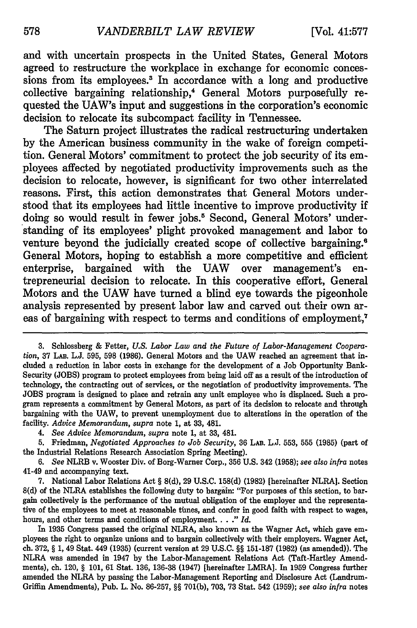and with uncertain prospects in the United States, General Motors agreed to restructure the workplace in exchange for economic concessions from its employees.' In accordance with a long and productive collective bargaining relationship,<sup>4</sup> General Motors purposefully requested the UAW's input and suggestions in the corporation's economic decision to relocate its subcompact facility in Tennessee.

The Saturn project illustrates the radical restructuring undertaken **by** the American business community in the wake of foreign competition. General Motors' commitment to protect the **job** security of its employees affected **by** negotiated productivity improvements such as the decision to relocate, however, is significant for two other interrelated reasons. First, this action demonstrates that General Motors understood that its employees had little incentive to improve productivity if doing so would result in fewer jobs.<sup>5</sup> Second, General Motors' understanding of its employees' plight provoked management and labor to venture beyond the judicially created scope of collective bargaining.<sup>6</sup> General Motors, hoping to establish a more competitive and efficient enterprise, bargained with the **UAW** over management's entrepreneurial decision to relocate. In this cooperative effort, General Motors and the **UAW** have turned a blind eye towards the pigeonhole analysis represented **by** present labor law and carved out their own areas of bargaining with respect to terms and conditions of employment,7

**<sup>3.</sup>** Schlossberg & Fetter, *U.S. Labor Law and the Future of Labor-Management Cooperation,* 37 LAB. L.J. 595, 598 (1986). General Motors and the UAW reached an agreement that included a reduction in labor costs in exchange for the development of a Job Opportunity Bank-Security (JOBS) program to protect employees from being laid off as a result of the introduction of technology, the contracting out of services, or the negotiation of productivity improvements. The JOBS program is designed to place and retrain any unit employee who is displaced. Such a program represents a commitment by General Motors, as part of its decision to relocate and through bargaining with the UAW, to prevent unemployment due to alterations in the operation of the facility. *Advice Memorandum, supra* note 1, at 33, 481.

*<sup>4.</sup> See Advice Memorandum, supra* note 1, at 33, 481.

<sup>5.</sup> Friedman, *Negotiated Approaches to Job Security,* 36 LAB. L.J. 553, 555 (1985) (part of the Industrial Relations Research Association Spring Meeting).

*<sup>6.</sup> See* NLRB v. Wooster Div. of Borg-Warner Corp., 356 U.S. 342 (1958); *see also infra* notes 41-49 and accompanying text.

<sup>7.</sup> National Labor Relations Act § 8(d), 29 U.S.C. 158(d) (1982) [hereinafter NLRA]. Section 8(d) of the NLRA establishes the following duty to bargain: "For purposes of this section, to bargain collectively is the performance of the mutual obligation of the employer and the representative of the employees to meet at reasonable times, and confer in good faith with respect to wages, hours, and other terms and conditions of employment. . . **."** *Id.*

In 1935 Congress passed the original NLRA, also known as the Wagner Act, which gave employees the right to organize unions and to bargain collectively with their employers. Wagner Act, ch. 372, § 1, 49 Stat. 449 (1935) (current version at 29 U.S.C. §§ 151-187 (1982) (as amended)). The NLRA was amended in 1947 by the Labor-Management Relations Act (Taft-Hartley Amendments), ch. 120, § 101, 61 Stat. 136, 136-38 (1947) [hereinafter LMRA]. In 1959 Congress further amended the NLRA by passing the Labor-Management Reporting and Disclosure Act (Landrum-Griffin Amendments), Pub. L. No. 86-257, §§ 701(b), 703, 73 Stat. 542 (1959); *see also infra* notes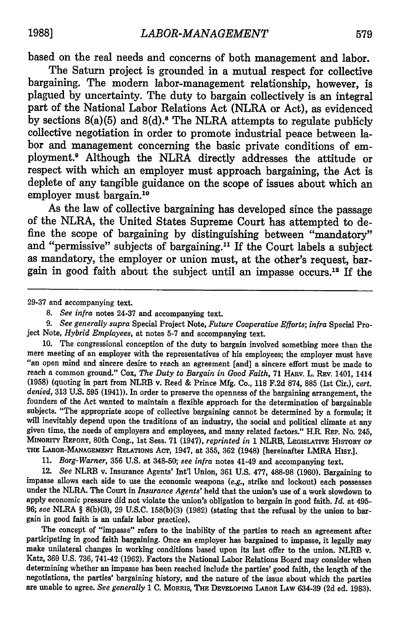based on the real needs and concerns of both management and labor.

The Saturn project is grounded in a mutual respect for collective bargaining. The modern labor-management relationship, however, is plagued **by** uncertainty. The duty to bargain collectively is an integral part of the National Labor Relations Act (NLRA or Act), as evidenced **by** sections 8(a)(5) and **8(d).<sup>s</sup>**The NLRA attempts to regulate publicly collective negotiation in order to promote industrial peace between labor and management concerning the basic private conditions of employment.' Although the NLRA directly addresses the attitude or respect with which an employer must approach bargaining, the Act is deplete of any tangible guidance on the scope of issues about which an employer must bargain.<sup>10</sup>

As the law of collective bargaining has developed since the passage of the NLRA, the United States Supreme Court has attempted to define the scope of bargaining **by** distinguishing between "mandatory" and "permissive" subjects of bargaining."' If the Court labels a subject as mandatory, the employer or union must, at the other's request, bargain in good faith about the subject until an impasse occurs.'2 If the

29-37 and accompanying text.

*9. See generally supra* Special Project Note, *Future Cooperative Efforts; infra* Special Project Note, *Hybrid Employees,* at notes 5-7 and accompanying text.

10. The congressional conception of the duty to bargain involved something more than the mere meeting of an employer with the representatives of his employees; the employer must have "an open mind and sincere desire to reach an agreement (and] a sincere effort must be made to reach a common ground." Cox, The Duty to Bargain in Good Faith, 71 HARV. L. REV. 1401, 1414 (1958) (quoting in part from NLRB v. Reed & Prince Mfg. Co., **118** F.2d 874, 885 (1st Cir.), *cert. denied,* 313 U.S. 595 (1941)). In order to preserve the openness of the bargaining arrangement, the founders of the Act wanted to maintain a flexible approach for the determination of bargainable subjects. "The appropriate scope of collective bargaining cannot be determined by a formula; it will inevitably depend upon the traditions of an industry, the social and political climate at any given time, the needs of employers and employees, and many related factors." **HR.** REP. No. 245, **MINORITY** REPORT, 80th Cong., 1st Sess. 71 (1947), *reprinted in* 1 NLRB, **LEGISLATIVE HISTORY** OF **THE LABOR-MANAGEMENT RELATIONS** ACT, 1947, at **355, 362** (1948) [hereinafter LMRA HIST.].

**11.** *Borg-Warner,* **356 U.S.** at **348-50;** *see infra* notes 41-49 and accompanying text.

12. *See* NLRB v. Insurance Agents' Int'l Union, **361 U.S. 477, 488-98 (1960).** Bargaining to impasse allows each side to use the economic weapons *(e.g.,* strike and lockout) each possesses under the NLRA. The Court in *Insurance Agents'* held that the union's use of a work slowdown to apply economic pressure did not violate the union's obligation to bargain in good faith. *Id.* at 495- **96;** *see* NLRA § **8(b)(3), 29 U.S.C. 158(b)(3) (1982)** (stating that the refusal **by** the union to bargain in good faith is an unfair labor practice).

The concept of "impasse" refers to the inability of the parties to reach an agreement after participating in good faith bargaining. Once an employer has bargained to impasse, it legally may make unilateral changes in working conditions based upon its last offer to the union. NLRB v. Katz, **369 U.S. 736,** 741-42 **(1962).** Factors the National Labor Relations Board may consider when determining whether an impasse has been reached include the parties' good faith, the length of the negotiations, the parties' bargaining history, and the nature of the issue about which the parties are unable to agree. *See generally* **1 C. MORRIS,** THE **DEVELOPING LABOR LAW 634-39 (2d ed. 1983).**

*<sup>8.</sup> See infra* notes 24-37 and accompanying text.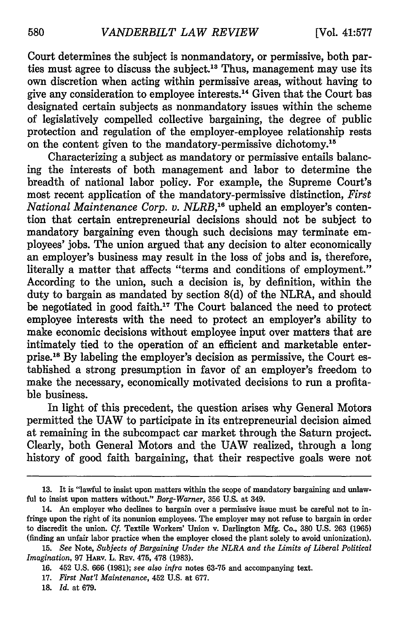Court determines the subject is nonmandatory, or permissive, both parties must agree to discuss the subject.13 Thus, management may use its own discretion when acting within permissive areas, without having to give any consideration to employee interests. 14 Given that the Court has designated certain subjects as nonmandatory issues within the scheme of legislatively compelled collective bargaining, the degree of public protection and regulation of the employer-employee relationship rests on the content given to the mandatory-permissive dichotomy.<sup>15</sup>

Characterizing a subject as mandatory or permissive entails balancing the interests of both management and labor to determine the breadth of national labor policy. For example, the Supreme Court's most recent application of the mandatory-permissive distinction, *First National Maintenance Corp. v. NLRB*,<sup>16</sup> upheld an employer's contention that certain entrepreneurial decisions should not be subject to mandatory bargaining even though such decisions may terminate employees' jobs. The union argued that any decision to alter economically an employer's business may result in the loss of jobs and is, therefore, literally a matter that affects "terms and conditions of employment." According to the union, such a decision is, by definition, within the duty to bargain as mandated by section 8(d) of the NLRA, and should be negotiated in good faith.'7 The Court balanced the need to protect employee interests with the need to protect an employer's ability to make economic decisions without employee input over matters that are intimately tied to the operation of an efficient and marketable enterprise.<sup>18</sup> By labeling the employer's decision as permissive, the Court established a strong presumption in favor of an employer's freedom to make the necessary, economically motivated decisions to run a profitable business.

In light of this precedent, the question arises why General Motors permitted the UAW to participate in its entrepreneurial decision aimed at remaining in the subcompact car market through the Saturn project. Clearly, both General Motors and the UAW realized, through a long history of good faith bargaining, that their respective goals were not

**<sup>13.</sup>** It is "lawful to insist upon matters within the scope of mandatory bargaining and unlawful to insist upon matters without." *Borg-Warner,* 356 U.S. at 349.

<sup>14.</sup> An employer who declines to bargain over a permissive issue must be careful not to infringe upon the right of its nonunion employees. The employer may not refuse to bargain in order to discredit the union. *Cf.* Textile Workers' Union v. Darlington Mfg. Co., 380 U.S. 263 (1965) (finding an unfair labor practice when the employer closed the plant solely to avoid unionization).

<sup>15.</sup> *See* Note, *Subjects of Bargaining Under the NLRA and the Limits of Liberal Political Imagination,* 97 HARv. L. REV. 475, 478 (1983).

<sup>16. 452</sup> U.S. 666 (1981); *see also infra* notes 63-75 and accompanying text.

<sup>17.</sup> *First Nat'l Maintenance,* 452 U.S. at 677.

<sup>18.</sup> *Id.* at 679.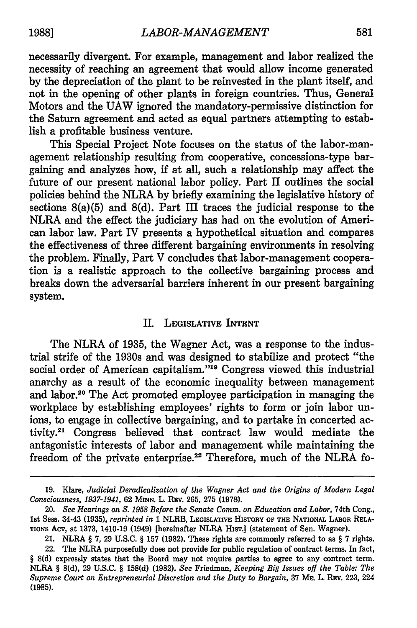necessarily divergent. For example, management and labor realized the necessity of reaching an agreement that would allow income generated by the depreciation of the plant to be reinvested in the plant itself, and not in the opening of other plants in foreign countries. Thus, General Motors and the UAW ignored the mandatory-permissive distinction for the Saturn agreement and acted as equal partners attempting to establish a profitable business venture.

This Special Project Note focuses on the status of the labor-management relationship resulting from cooperative, concessions-type bargaining and analyzes how, if at all, such a relationship may affect the future of our present national labor policy. Part II outlines the social policies behind the NLRA by briefly examining the legislative history of sections 8(a)(5) and 8(d). Part III traces the judicial response to the NLRA and the effect the judiciary has had on the evolution of American labor law. Part IV presents a hypothetical situation and compares the effectiveness of three different bargaining environments in resolving the problem. Finally, Part V concludes that labor-management cooperation is a realistic approach to the collective bargaining process and breaks down the adversarial barriers inherent in our present bargaining system.

#### II. LEGISLATIVE INTENT

The NLRA of **1935,** the Wagner Act, was a response to the industrial strife of the 1930s and was designed to stabilize and protect "the social order of American capitalism."'19 Congress viewed this industrial anarchy as a result of the economic inequality between management and labor.20 The Act promoted employee participation in managing the workplace **by** establishing employees' rights to form or join labor **un**ions, to engage in collective bargaining, and to partake in concerted activity.21 Congress believed that contract law would mediate the antagonistic interests of labor and management while maintaining the freedom of the private enterprise.<sup>22</sup> Therefore, much of the NLRA fo-

**<sup>19.</sup>** Klare, *Judicial Deradicalization of the Wagner Act and the Origins of Modern Legal Consciousness, 1937-1941,* **62 MINN.** L. **REv. 265, 275 (1978).**

<sup>20.</sup> *See Hearings on* **S.** *1958 Before the Senate Comm. on Education and Labor,* 74th Cong., 1st Sess. 34-43 **(1935),** *reprinted in* **1** NLRB, **LEGISLATM HISTORY OF THE NATIONAL LABOR RELA-TIONS ACT,** at **1373,** 1410-19 (1949) [hereinafter NLRA HisT.] (statement of Sen. Wagner).

<sup>21.</sup> NLRA § **7, 29 U.S.C.** § **157 (1982).** These rights are commonly referred to as § **7** rights.

<sup>22.</sup> The NLRA purposefully does not provide for public regulation **of** contract terms. In fact, § **8(d)** expressly states that the Board may not require **parties** to agree to any contract term. NLRA § **8(d), 29 U.S.C.** § **158(d) (1982).** *See* Friedman, *Keeping Big Issues off the Table: The Supreme Court on Entrepreneurial Discretion and the Duty to Bargain,* **37 ME.** L. **REv. 223,** 224 **(1985).**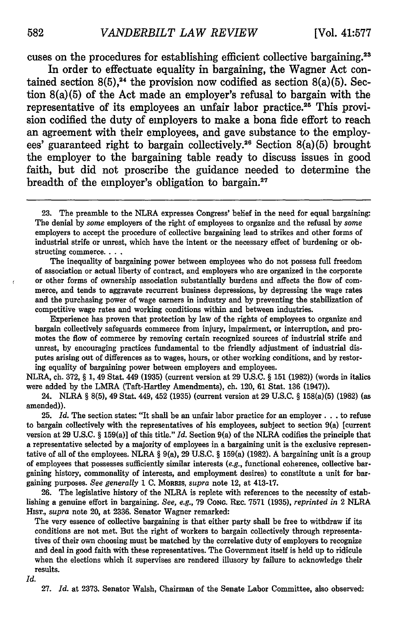cuses on the procedures for establishing efficient collective bargaining.<sup>23</sup>

In order to effectuate equality in bargaining, the Wagner Act contained section  $8(5)$ ,<sup>24</sup> the provision now codified as section  $8(a)(5)$ . Section 8(a)(5) of the Act made an employer's refusal to bargain with the representative of its employees an unfair labor practice.<sup>25</sup> This provision codified the duty of employers to make a bona fide effort to reach an agreement with their employees, and gave substance to the employees' guaranteed right to bargain collectively.26 Section 8(a)(5) brought the employer to the bargaining table ready to discuss issues in good faith, but did not proscribe the guidance needed to determine the breadth of the employer's obligation to bargain.

The inequality of bargaining power between employees who do not possess full freedom of association or actual liberty of contract, and employers who are organized in the corporate or other forms of ownership association substantially burdens and affects the flow of commerce, and tends to aggravate recurrent business depressions, by depressing the wage rates and the purchasing power of wage earners in industry and by preventing the stabilization of competitive wage rates and working conditions within and between industries.

Experience has proven that protection by law of the rights of employees to organize and bargain collectively safeguards commerce from injury, impairment, or interruption, and promotes the flow of commerce by removing certain recognized sources of industrial strife and unrest, by encouraging practices fundamental to the friendly adjustment of industrial disputes arising out of differences as to wages, hours, or other working conditions, and by restoring equality of bargaining power between employers and employees.

NLRA, ch. 372, § 1, 49 Stat. 449 (1935) (current version at 29 U.S.C. § 151 (1982)) (words in italics were added by the LMRA (Taft-Hartley Amendments), ch. 120, 61 Stat. 136 (1947)).

24. NLRA § 8(5), 49 Stat. 449, 452 (1935) (current version at 29 U.S.C. § 158(a)(5) (1982) (as amended)).

25. *Id.* The section states: "It shall be an unfair labor practice for an employer. **. .** to refuse to bargain collectively with the representatives of his employees, subject to section 9(a) [current version at 29 U.S.C. § 159(a)] of this title." *Id.* Section 9(a) of the NLRA codifies the principle that a representative selected by a majority of employees in a bargaining unit is the exclusive representative of all of the employees. NLRA  $\S 9(a)$ , 29 U.S.C.  $\S 159(a)$  (1982). A bargaining unit is a group of employees that possesses sufficiently similar interests *(e.g.,* functional coherence, collective bargaining history, commonality of interests, and employment desires) to constitute a unit for bargaining purposes. *See generally* 1 C. MORRIS, *supra* note 12, at 413-17.

26. The legislative history of the NLRA is replete with references to the necessity of establishing a genuine effort in bargaining. *See, e.g.,* 79 CONG. REc. 7571 (1935), *reprinted in* 2 NLRA HIsT., *supra* note 20, at 2336. Senator Wagner remarked:

The very essence of collective bargaining is that either party shall be free to withdraw if its conditions are not met. But the right of workers to bargain collectively through representatives of their own choosing must be matched by the correlative duty of employers to recognize and deal in good faith with these representatives. The Government itself is held up to ridicule when the elections which it supervises are rendered illusory by failure to acknowledge their results.

*Id.*

27. *Id.* at 2373. Senator Walsh, Chairman of the Senate Labor Committee, also observed:

**<sup>23.</sup>** The preamble to the NLRA expresses Congress' belief in the need for equal bargaining: The denial by *some* employers of the right of employees to organize and the refusal by some employers to accept the procedure of collective bargaining lead to strikes and other forms of industrial strife or unrest, which have the intent or the necessary effect of burdening or obstructing commerce. . . .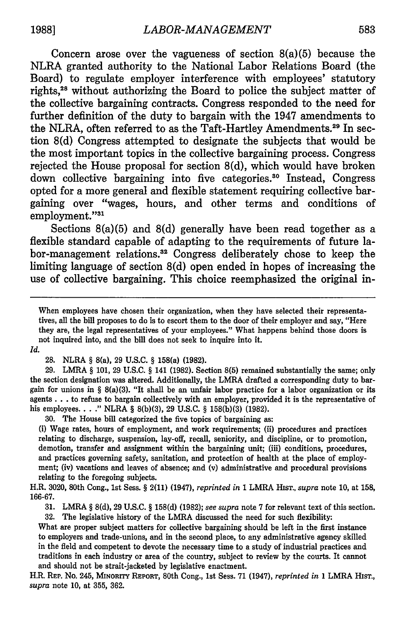Concern arose over the vagueness of section  $8(a)(5)$  because the NLRA granted authority to the National Labor Relations Board (the Board) to regulate employer interference with employees' statutory rights,28 without authorizing the Board to police the subject matter of the collective bargaining contracts. Congress responded to the need for further definition of the duty to bargain with the 1947 amendments to the NLRA, often referred to as the Taft-Hartley Amendments.<sup>29</sup> In section **8(d)** Congress attempted to designate the subjects that would be the most important topics in the collective bargaining process. Congress rejected the House proposal for section **8(d),** which would have broken down collective bargaining into five categories.<sup>30</sup> Instead, Congress opted for a more general and flexible statement requiring collective bargaining over "wages, hours, and other terms and conditions of employment."31

Sections 8(a)(5) and **8(d)** generally have been read together as a flexible standard capable of adapting to the requirements of future labor-management relations.32 Congress deliberately chose to keep the limiting language of section **8(d)** open ended in hopes of increasing the use of collective bargaining. This choice reemphasized the original in-

When employees have chosen their organization, when they have selected their representatives, all the bill proposes to do is to escort them to the door of their employer and say, "Here they are, the legal representatives of your employees." What happens behind those doors is not inquired into, and the bill does not seek to inquire into it.

*Id.*

28. NLRA *§* 8(a), 29 U.S.C. § 158(a) (1982).

29. LMRA § 101, 29 U.S.C. § 141 (1982). Section 8(5) remained substantially the same; only the section designation was altered. Additionally, the LMRA drafted a corresponding duty to bargain for unions in § 8(a)(3). "It shall be an unfair labor practice for a labor organization or its agents **...** to refuse to bargain collectively with an employer, provided it is the representative of his employees. . . **."** NLRA § 8(b)(3), 29 U.S.C. § 158(b)(3) (1982).

30. The House bill categorized the five topics of bargaining as:

(i) Wage rates, hours of employment, and work requirements; (ii) procedures and practices relating to discharge, suspension, lay-off, recall, seniority, and discipline, or to promotion, demotion, transfer and assignment within the bargaining unit; (iii) conditions, procedures, and practices governing safety, sanitation, and protection of health at the place of employment; (iv) vacations and leaves of absence; and (v) administrative and procedural provisions relating to the foregoing subjects.

H.R. 3020, 80th Cong., 1st Sess. § 2(11) (1947), *reprinted in* 1 LMRA HIST., *supra* note 10, at 158, 166-67.

31. LMRA § 8(d), 29 U.S.C. § 158(d) (1982); *see supra* note 7 for relevant text of this section.

**32.** The legislative history of the LMRA discussed the need for such flexibility:

What are proper subject matters for collective bargaining should be left in the first instance to employers and trade-unions, and in the second place, to any administrative agency skilled in the field and competent to devote the necessary time to a study of industrial practices and traditions in each industry or area of the country, subject to review **by** the courts. It cannot and should not be strait-jacketed **by** legislative enactment.

H.R. **REP.** No. 245, MINORry REPORT, 80th Cong., 1st Sess. **71** (1947), *reprinted in* 1 LMRA HIsT., *supra* note **10,** at **355, 362.**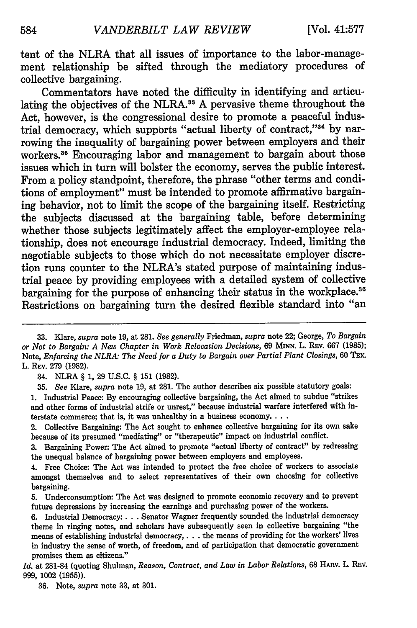tent of the NLRA that all issues of importance to the labor-management relationship be sifted through the mediatory procedures of collective bargaining.

Commentators have noted the difficulty in identifying and articulating the objectives of the NLRA.<sup>33</sup> A pervasive theme throughout the Act, however, is the congressional desire to promote a peaceful industrial democracy, which supports "actual liberty of contract,"<sup>34</sup> by narrowing the inequality of bargaining power between employers and their workers.<sup>35</sup> Encouraging labor and management to bargain about those issues which in turn will bolster the economy, serves the public interest. From a policy standpoint, therefore, the phrase "other terms and conditions of employment" must be intended to promote affirmative bargaining behavior, not to limit the scope of the bargaining itself. Restricting the subjects discussed at the bargaining table, before determining whether those subjects legitimately affect the employer-employee relationship, does not encourage industrial democracy. Indeed, limiting the negotiable subjects to those which do not necessitate employer discretion runs counter to the NLRA's stated purpose of maintaining industrial peace **by** providing employees with a detailed system of collective bargaining for the purpose of enhancing their status in the workplace.<sup>36</sup> Restrictions on bargaining turn the desired flexible standard into "an

1. Industrial Peace: By encouraging collective bargaining, the Act aimed to subdue "strikes and other forms of industrial strife or unrest," because industrial warfare interfered with interstate commerce; that is, it was unhealthy in a business economy....

2. Collective Bargaining: The Act sought to enhance collective bargaining for its own sake because of its presumed "mediating" or "therapeutic" impact on industrial conflict.

3. Bargaining Power: The Act aimed to promote "actual liberty of contract" by redressing the unequal balance of bargaining power between employers and employees.

36. Note, *supra* note 33, at 301.

**<sup>33.</sup>** Kare, *supra* note 19, at 281. *See generally* Friedman, *supra* note 22; George, *To Bargain or Not to Bargain: A New Chapter in Work Relocation Decisions,* 69 **MINN.** L. REv. 667 (1985); Note, *Enforcing the NLRA: The Need for a Duty to Bargain over Partial Plant Closings,* 60 TEX. L. REv. 279 (1982).

<sup>34.</sup> NLRA § 1, 29 U.S.C. § 151 (1982).

<sup>35.</sup> *See* Kare, *supra* note 19, at 281. The author describes six possible statutory goals:

<sup>4.</sup> Free Choice: The Act was intended to protect the free choice of workers to associate amongst themselves and to select representatives of their own choosing for collective bargaining.

<sup>5.</sup> Underconsumption: The Act was designed to promote economic recovery and to prevent future depressions by increasing the earnings and purchasing power of the workers.

<sup>6.</sup> Industrial Democracy:. **.** . Senator Wagner frequently sounded the industrial democracy theme in ringing notes, and scholars have subsequently seen in collective bargaining "the means of establishing industrial democracy,. **. .** the means of providing for the workers' lives in industry the sense of worth, of freedom, and of participation that democratic government promises them as citizens."

*Id.* at 281-84 (quoting Shulman, *Reason, Contract, and Law in Labor Relations,* 68 HARv. L. REV. 999, 1002 (1955)).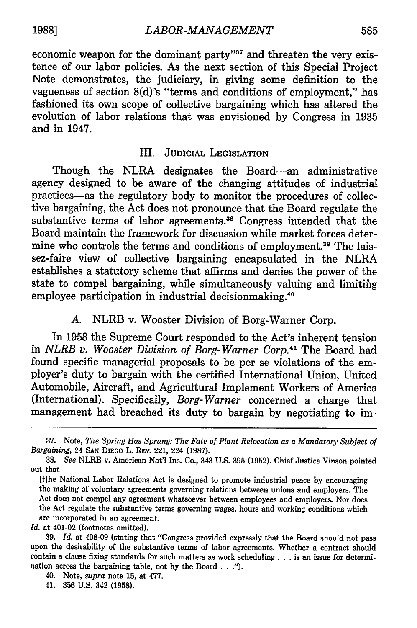economic weapon for the dominant party"<sup>37</sup> and threaten the very existence of our labor policies. As the next section of this Special Project Note demonstrates, the judiciary, in giving some definition to the vagueness of section 8(d)'s "terms and conditions of employment," has fashioned its own scope of collective bargaining which has altered the evolution of labor relations that was envisioned **by** Congress in **1935** and in 1947.

## III. JUDICIAL **LEGISLATION**

Though the NLRA designates the Board-an administrative agency designed to be aware of the changing attitudes of industrial practices-as the regulatory body to monitor the procedures of collective bargaining, the Act does not pronounce that the Board regulate the substantive terms of labor agreements.<sup>38</sup> Congress intended that the Board maintain the framework for discussion while market forces determine who controls the terms and conditions of employment.<sup>39</sup> The laissez-faire view of collective bargaining encapsulated in the NLRA establishes a statutory scheme that affirms and denies the power of the state to compel bargaining, while simultaneously valuing and limiting employee participation in industrial decisionmaking.<sup>40</sup>

## *A.* NLRB v. Wooster Division of Borg-Warner Corp.

In **1958** the Supreme Court responded to the Act's inherent tension in *NLRB v. Wooster Division of Borg-Warner Corp.41* The Board had found specific managerial proposals to be per se violations of the employer's duty to bargain with the certified International Union, United Automobile, Aircraft, and Agricultural Implement Workers of America (International). Specifically, *Borg-Warner* concerned a charge that management had breached its duty to bargain **by** negotiating to im-

*Id.* at 401-02 (footnotes omitted).

39. *Id.* at 408-09 (stating that "Congress provided expressly that the Board should not pass upon the desirability of the substantive terms of labor agreements. Whether a contract should contain a clause fixing standards for such matters as work scheduling **...** is an issue for determination across the bargaining table, not by the Board **..**

**<sup>37.</sup>** Note, *The Spring Has Sprung: The Fate of Plant Relocation as a Mandatory Subject of Bargaining,* 24 **SAN** DIEGo L. REv. 221, 224 **(1987).**

<sup>38.</sup> *See* NLRB v. American Nat'l Ins. Co., 343 U.S. 395 (1952). Chief Justice Vinson pointed out that

<sup>[</sup>t]he National Labor Relations Act is designed to promote industrial peace by encouraging the making of voluntary agreements governing relations between unions and employers. The Act does not compel any agreement whatsoever between employees and employers. Nor does the Act regulate the substantive terms governing wages, hours and working conditions which are incorporated in an agreement.

<sup>40.</sup> Note, *supra* note 15, at 477.

<sup>41. 356</sup> U.S. 342 (1958).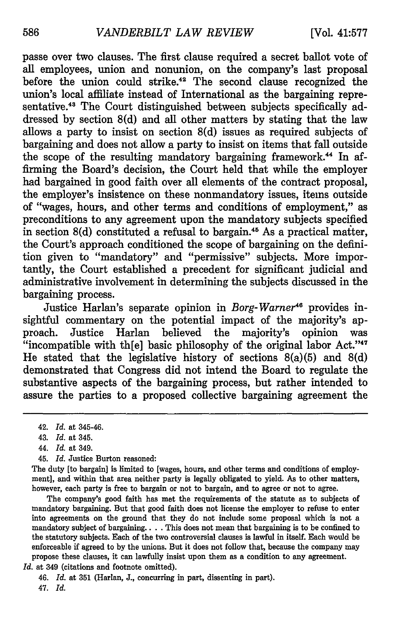passe over two clauses. The first clause required a secret ballot vote of all employees, union and nonunion, on the company's last proposal before the union could strike.<sup>42</sup> The second clause recognized the union's local affiliate instead of International as the bargaining representative.<sup>43</sup> The Court distinguished between subjects specifically addressed by section 8(d) and all other matters by stating that the law allows a party to insist on section 8(d) issues as required subjects of bargaining and does not allow a party to insist on items that fall outside the scope of the resulting mandatory bargaining framework.<sup>44</sup> In affirming the Board's decision, the Court held that while the employer had bargained in good faith over all elements of the contract proposal, the employer's insistence on these nonmandatory issues, items outside of "wages, hours, and other terms and conditions of employment," as preconditions to any agreement upon the mandatory subjects specified in section  $8(d)$  constituted a refusal to bargain.<sup>45</sup> As a practical matter, the Court's approach conditioned the scope of bargaining on the definition given to "mandatory" and "permissive" subjects. More importantly, the Court established a precedent for significant judicial and administrative involvement in determining the subjects discussed in the bargaining process.

Justice Harlan's separate opinion in *Borg-Warner<sup>46</sup>* provides insightful commentary on the potential impact of the majority's approach. Justice Harlan believed the majority's opinion was "incompatible with th $[e]$  basic philosophy of the original labor Act." $47$ He stated that the legislative history of sections  $8(a)(5)$  and  $8(d)$ demonstrated that Congress did not intend the Board to regulate the substantive aspects of the bargaining process, but rather intended to assure the parties to a proposed collective bargaining agreement the

- 44. *Id.* at 349.
- 45. *Id.* Justice Burton reasoned:

The duty [to bargain] is limited to [wages, hours, and other terms and conditions of employment], and within that area neither party is legally obligated to yield. As to other matters, however, each party is free to bargain or not to bargain, and to agree or not to agree.

The company's good faith has met the requirements of the statute as to subjects of mandatory bargaining. But that good faith does not license the employer to refuse to enter into agreements on the ground that they do not include some proposal which is not a mandatory subject of bargaining .... This does not mean that bargaining is to be confined to the statutory subjects. Each of the two controversial clauses is lawful in itself. Each would be enforceable if agreed to by the unions. But it does not follow that, because the company may propose these clauses, it can lawfully insist upon them as a condition to any agreement. *Id.* at 349 (citations and footnote omitted).

46. *Id.* at 351 (Harlan, J., concurring in part, dissenting in part).

47. *Id.*

<sup>42.</sup> *Id.* at 345-46.

<sup>43.</sup> *Id.* at 345.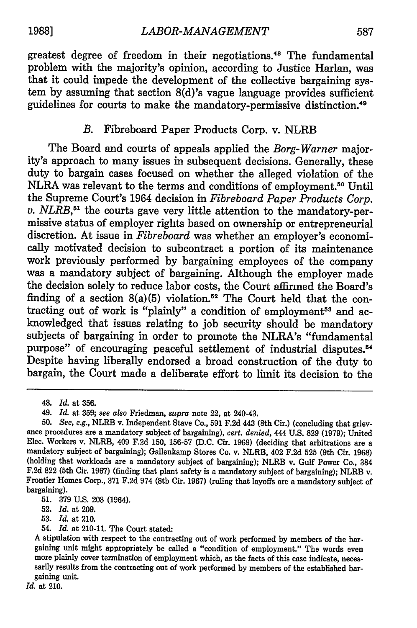greatest degree of freedom in their negotiations.48 The fundamental problem with the majority's opinion, according to Justice Harlan, was that it could impede the development of the collective bargaining system by assuming that section  $8(d)$ 's vague language provides sufficient guidelines for courts to make the mandatory-permissive distinction.49

## *B.* Fibreboard Paper Products Corp. v. NLRB

The Board and courts of appeals applied the *Borg-Warner* majority's approach to many issues in subsequent decisions. Generally, these duty to bargain cases focused on whether the alleged violation of the NLRA was relevant to the terms and conditions of employment.<sup>50</sup> Until the Supreme Court's 1964 decision in *Fibreboard Paper Products Corp. v. NLRB*,<sup>51</sup> the courts gave very little attention to the mandatory-permissive status of employer rights based on ownership or entrepreneurial discretion. At issue in *Fibreboard* was whether an employer's economically motivated decision to subcontract a portion of its maintenance work previously performed by bargaining employees of the company was a mandatory subject of bargaining. Although the employer made the decision solely to reduce labor costs, the Court affirmed the Board's finding of a section  $8(a)(5)$  violation.<sup>52</sup> The Court held that the contracting out of work is "plainly" a condition of employment<sup>53</sup> and acknowledged that issues relating to job security should be mandatory subjects of bargaining in order to promote the NLRA's "fundamental purpose" of encouraging peaceful settlement of industrial disputes.<sup>54</sup> Despite having liberally endorsed a broad construction of the duty to bargain, the Court made a deliberate effort to limit its decision to the

*Id.* at 210.

<sup>48.</sup> *Id.* at 356.

<sup>49.</sup> *Id.* at 359; *see also* Friedman, *supra* note 22, at 240-43.

<sup>50.</sup> *See, e.g.,* NLRB v. Independent Stave Co., 591 F.2d 443 (8th Cir.) (concluding that griev- ance procedures are a mandatory subject of bargaining), *cert. denied,* 444 U.S. 829 (1979); United Elec. Workers v. NLRB, 409 F.2d 150, 156-57 (D.C. Cir. 1969) (deciding that arbitrations are a mandatory subject of bargaining); Gallenkamp Stores Co. v. NLRB, 402 F.2d 525 (9th Cir. 1968) (holding that workloads are a mandatory subject of bargaining); NLRB v. Gulf Power Co., 384 F.2d 822 (5th Cir. 1967) (finding that plant safety is a mandatory subject of bargaining); NLRB v. Frontier Homes Corp., 371 F.2d 974 (8th Cir. 1967) (ruling that layoffs are a mandatory subject of bargaining).

<sup>51. 379</sup> U.S. 203 (1964).

<sup>52.</sup> *Id.* at 209.

**<sup>53.</sup>** *Id.* at 210.

<sup>54.</sup> *Id.* at 210-11. The Court stated:

A stipulation with respect to the contracting out of work performed by members of the bargaining unit might appropriately be called a "condition of employment." The words even<br>more plainly cover termination of employment which, as the facts of this case indicate, neces-<br>sarily results from the contracting out gaining unit.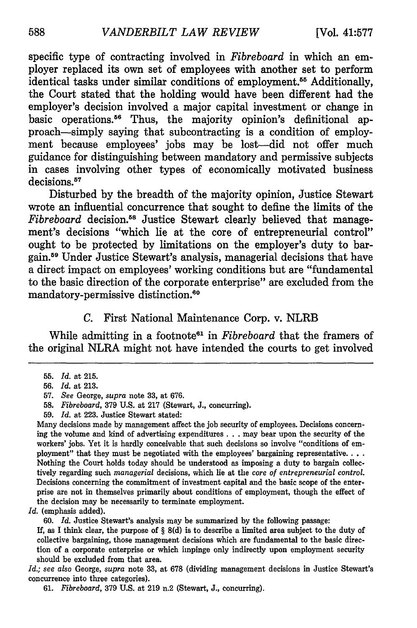specific type of contracting involved in *Fibreboard* in which an employer replaced its own set of employees with another set to perform identical tasks under similar conditions of employment.<sup>55</sup> Additionally, the Court stated that the holding would have been different had the employer's decision involved a major capital investment or change in basic operations.56 Thus, the majority opinion's definitional approach-simply saying that subcontracting is a condition of employment because employees' jobs may be lost-did not offer much guidance for distinguishing between mandatory and permissive subjects in cases involving other types of economically motivated business decisions.<sup>57</sup>

Disturbed **by** the breadth of the majority opinion, Justice Stewart wrote an influential concurrence that sought to define the limits of the *Fibreboard* decision.58 Justice Stewart clearly believed that management's decisions "which lie at the core of entrepreneurial control" ought to be protected **by** limitations on the employer's duty to bargain.5e Under Justice Stewart's analysis, managerial decisions that have a direct impact on employees' working conditions but are "fundamental to the basic direction of the corporate enterprise" are excluded from the mandatory-permissive distinction.<sup>60</sup>

### *C.* First National Maintenance Corp. v. NLRB

While admitting in a footnote<sup>61</sup> in *Fibreboard* that the framers of the original NLRA might not have intended the courts to get involved

59. *Id.* at 223. Justice Stewart stated:

Many decisions made by management affect the **job** security of employees. Decisions concerning the volume and kind of advertising expenditures... may bear upon the security of the workers' jobs. Yet it is hardly conceivable that such decisions so involve "conditions of employment" that they must be negotiated with the employees' bargaining representative.... Nothing the Court holds today should be understood as imposing a duty to bargain collectively regarding such *managerial* decisions, which **lie** at the *core of entrepreneurial control.* Decisions concerning the commitment of investment capital and the basic scope of the enterprise are not in themselves primarily about conditions of employment, though the effect of the decision may be necessarily to terminate employment.

*Id.* (emphasis added).

**60.** *Id.* Justice Stewart's analysis may be summarized by the following passage:

If, as I think clear, the purpose of § 8(d) is to describe a limited area subject to the duty of collective bargaining, those management decisions which are fundamental to the basic direction of a corporate enterprise or which impinge only indirectly upon employment security should be excluded from that area.

*Id.; see also* George, *supra* note 33, at 678 (dividing management decisions in Justice Stewart's concurrence into three categories).

61. *Fibreboard,* 379 U.S. at 219 n.2 (Stewart, J., concurring).

<sup>55.</sup> *Id.* at 215.

<sup>56.</sup> Id. at 213.

<sup>57.</sup> *See* George, *supra* note 33, at 676.

<sup>58.</sup> *Fibreboard,* 379 U.S. at 217 (Stewart, J., concurring).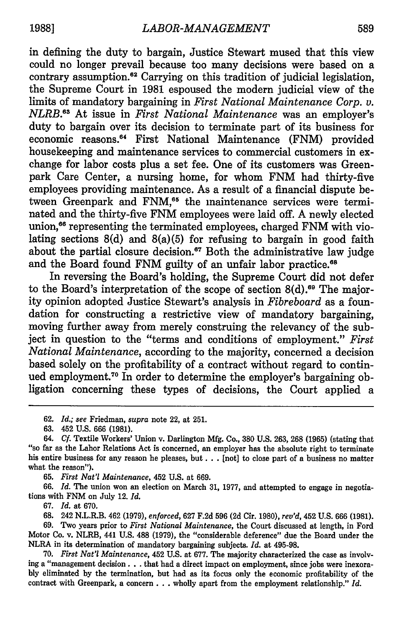in defining the duty to bargain, Justice Stewart mused that this view could no longer prevail because too many decisions were based on a contrary assumption.<sup>62</sup> Carrying on this tradition of judicial legislation, the Supreme Court in 1981 espoused the modern judicial view of the limits of mandatory bargaining in *First National Maintenance Corp. v. NLRB.6 <sup>3</sup>*At issue in *First National Maintenance* was an employer's duty to bargain over its decision to terminate part of its business for economic reasons.<sup>64</sup> First National Maintenance (FNM) provided housekeeping and maintenance services to commercial customers in exchange for labor costs plus a set fee. One of its customers was Greenpark Care Center, a nursing home, for whom FNM had thirty-five employees providing maintenance. As a result of a financial dispute between Greenpark and FNM,<sup>65</sup> the maintenance services were terminated and the thirty-five FNM employees were laid off. A newly elected union,<sup>66</sup> representing the terminated employees, charged FNM with violating sections  $8(d)$  and  $8(a)(5)$  for refusing to bargain in good faith about the partial closure decision.<sup>67</sup> Both the administrative law judge and the Board found FNM guilty of an unfair labor practice.<sup>68</sup>

In reversing the Board's holding, the Supreme Court did not defer to the Board's interpretation of the scope of section  $8(d)$ .<sup>69</sup> The majority opinion adopted Justice Stewart's analysis in *Fibreboard* as a foundation for constructing a restrictive view of mandatory bargaining, moving further away from merely construing the relevancy of the subject in question to the "terms and conditions of employment." *First National Maintenance,* according to the majority, concerned a decision based solely on the profitability of a contract without regard to continued employment.<sup>70</sup> In order to determine the employer's bargaining obligation concerning these types of decisions, the Court applied a

65. *First Nat'l Maintenance,* 452 U.S. at 669.

66. *Id.* The union won an election on March 31, 1977, and attempted to engage in negotiations with FNM on July 12. *Id.*

67. *Id.* at 670.

**68.** 242 N.L.R.B. 462 (1979), *enforced,* 627 F.2d 596 (2d Cir. 1980), *rev'd,* 452 U.S. 666 (1981).

**69.** Two years prior to *First National Maintenance,* the Court discussed at length, in Ford Motor Co. v. NLRB, 441 **U.S. 488 (1979),** the "considerable deference" due the Board under the NLRA in its determination of mandatory bargaining subjects. *Id.* at **495-98.**

**70.** *First Nat'l Maintenance,* 452 **U.S.** at **677.** The majority characterized the case as involving a "management decision **...** that had a direct impact on employment, since jobs were inexora**bly** eliminated **by** the termination, but had as its focus only the economic profitability of the contract with Greenpark, a concern **...** wholly apart from the employment relationship." *Id.*

<sup>62.</sup> *Id.; see* Friedman, *supra* note 22, at 251.

<sup>63. 452</sup> U.S. 666 (1981).

<sup>64.</sup> Cf. Textile Workers' Union v. Darlington Mfg. Co., 380 U.S. 263, 268 (1965) (stating that "so far as the Labor Relations Act is concerned, an employer has the absolute right to terminate his entire business for any reason he pleases, but... [not] to close part of a business no matter what the reason").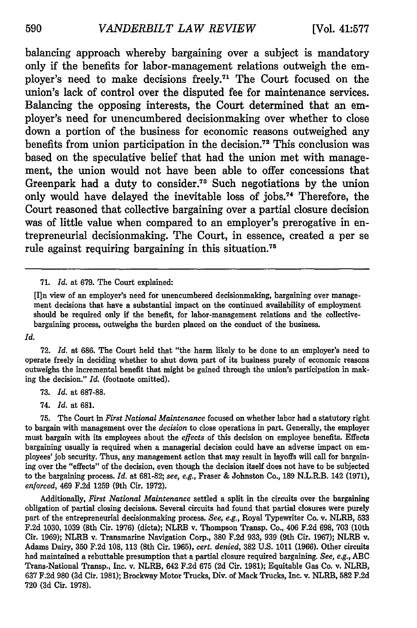balancing approach whereby bargaining over a subject is mandatory only if the benefits for labor-management relations outweigh the employer's need to make decisions freely.<sup>71</sup> The Court focused on the union's lack of control over the disputed fee for maintenance services. Balancing the opposing interests, the Court determined that an employer's need for unencumbered decisionmaking over whether to close down a portion of the business for economic reasons outweighed any benefits from union participation in the decision.<sup>72</sup> This conclusion was based on the speculative belief that had the union met with management, the union would not have been able to offer concessions that Greenpark had a duty to consider. 73 Such negotiations **by** the union only would have delayed the inevitable loss of jobs.<sup>74</sup> Therefore, the Court reasoned that collective bargaining over a partial closure decision was of little value when compared to an employer's prerogative in entrepreneurial decisionmaking. The Court, in essence, created a per se rule against requiring bargaining in this situation.75

71. *Id.* at 679. The Court explained:

[I]n view of an employer's need for unencumbered decisionmaking, bargaining over management decisions that have a substantial impact on the continued availability of employment should be required only if the benefit, for labor-management relations and the collectivebargaining process, outweighs the burden placed on the conduct of the business.

*Id.*

**72.** *Id.* at 686. The Court held that "the harm likely to be done to an employer's need to operate freely in deciding whether to shut down part of its business purely of economic reasons outweighs the incremental benefit that might be gained through the union's participation in making the decision." *Id.* (footnote omitted).

**73.** *Id.* at **687-88.**

74. *Id.* at 681.

**75.** The Court in *First National Maintenance* focused on whether labor had a statutory right to bargain with management over the *decision* to close operations in part. Generally, the employer must bargain with its employees about the *effects* of this decision on employee benefits. Effects bargaining usually is required when a managerial decision could have an adverse impact on employees' job security. Thus, any management action that may result in layoffs will call for bargaining over the "effects" of the decision, even though the decision itself does not have to be subjected to the bargaining process. *Id.* at **681-82;** *see, e.g.,* Fraser & Johnston Co., **189** N.L.R.B. 142 (1971), *enforced,* 469 **F.2d** 1259 (9th Cir. 1972).

Additionally, *First National Maintenance* settled a split in the circuits over the bargaining obligation of partial closing decisions. Several circuits had found that partial closures were purely part of the entrepreneurial decisionmaking process. *See, e.g.,* Royal Typewriter Co. v. NLRB, **533** F.2d 1030, **1039** (8th Cir. **1976)** (dicta); NLRB v. Thompson Transp. Co., 406 F.2d **698, 703** (10th Cir. **1969);** NLRB v. Transmarine Navigation Corp., **380 F.2d 933, 939** (9th Cir. **1967);** NLRB v. Adams Dairy, 350 F.2d 108, **113** (8th Cir. 1965), *cert. denied,* **382** U.S. 1011 (1966). Other circuits had maintained a rebuttable presumption that a partial closure required bargaining. *See,* e.g., **ABC** Trans-National Transp., Inc. v. NLRB, 642 F.2d **675 (2d** Cir. **1981);** Equitable Gas Co. v. NLRB, **637** F.2d **980** (3d Cir. **1981);** Brockway Motor Trucks, Div. of Mack Trucks, Inc. v. NLRB, **582** F.2d **720** (3d Cir. 1978).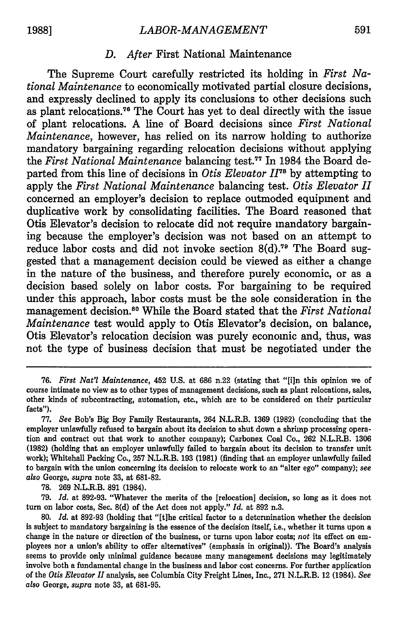#### *D. After* First National Maintenance

The Supreme Court carefully restricted its holding in *First National Maintenance* to economically motivated partial closure decisions, and expressly declined to apply its conclusions to other decisions such as plant relocations."6 The Court has yet to deal directly with the issue of plant relocations. **A** line of Board decisions since *First National Maintenance,* however, has relied on its narrow holding to authorize mandatory bargaining regarding relocation decisions without applying the *First National Maintenance* balancing test." In 1984 the Board departed from this line of decisions in *Otis Elevator*  $II^{78}$  by attempting to apply the *First National Maintenance* balancing test. *Otis Elevator* **H** concerned an employer's decision to replace outmoded equipment and duplicative work **by** consolidating facilities. The Board reasoned that Otis Elevator's decision to relocate did not require mandatory bargaining because the employer's decision was not based on an attempt to reduce labor costs and did not invoke section 8(d).<sup>79</sup> The Board suggested that a management decision could be viewed as either a change in the nature of the business, and therefore purely economic, or as a decision based solely on labor costs. For bargaining to be required under this approach, labor costs must be the sole consideration in the management decision.80 While the Board stated that the *First National Maintenance* test would apply to Otis Elevator's decision, on balance, Otis Elevator's relocation decision was purely economic and, thus, was not the type of business decision that must be negotiated under the

**78. 269** N.L.R.B. **891** (1984).

**79.** *Id.* at **892-93.** "Whatever the merits of the [relocation] decision, so long as it does not turn on labor costs, Sec. **8(d)** of the Act does not apply." *Id.* at **892** n.3.

**<sup>76.</sup>** *First Nat'l Maintenance,* 452 **U.S.** at **686** n.22 (stating that **"[i]n** this opinion we of course intimate no view as to other types of management decisions, such as plant relocations, sales, other kinds of subcontracting, automation, etc., which are to be considered on their particular facts").

**<sup>77.</sup>** *See* Bob's Big Boy Family Restaurants, 264 N.L.R.B. **1369 (1982)** (concluding that the employer unlawfully refused to bargain about its decision to shut down a shrimp processing operation and contract out that work to another company); Carbonex Coal Co., **262** N.L.R.B. **1306 (1982)** (holding that an employer unlawfully failed to bargain about its decision to transfer unit work); Whitehall Packing Co., **257** N.L.R.B. **193 (1981)** (finding that an employer unlawfully failed to bargain with the union concerning its decision to relocate work to an "alter ego" company); *see* also George, *supra* note **33,** at **681-82.**

**<sup>80.</sup>** *Id.* at **892-93** (holding that "[tihe critical factor to a determination whether the decision is subject to mandatory bargaining is the essence of the decision itself, i.e., whether it turns upon a change in the nature or direction of the business, or turns upon labor costs; *not* its effect on employees nor a union's ability to offer alternatives" (emphasis in original)). The Board's analysis seems to provide only minimal guidance because many management decisions may legitimately involve both a fundamental change in the business and labor cost concerns. For further application of the *Otis Elevator II* analysis, see Columbia City Freight Lines, Inc., **271** N.L.R.B. 12 (1984). *See* also George, *supra* note **33,** at **681-95.**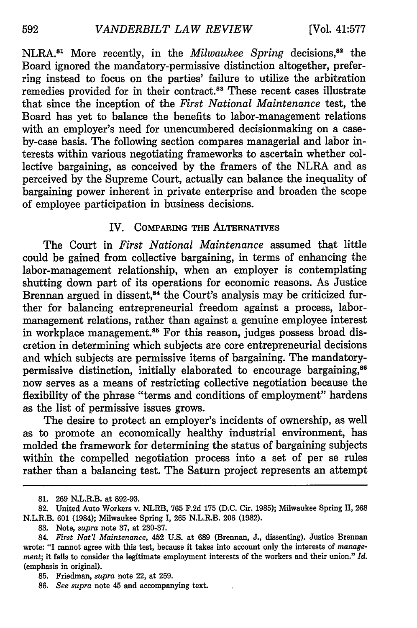NLRA.<sup>81</sup> More recently, in the *Milwaukee Spring* decisions,<sup>82</sup> the Board ignored the mandatory-permissive distinction altogether, preferring instead to focus on the parties' failure to utilize the arbitration remedies provided for in their contract.<sup>83</sup> These recent cases illustrate that since the inception of the *First National Maintenance* test, the Board has yet to balance the benefits to labor-management relations with an employer's need for unencumbered decisionmaking on a caseby-case basis. The following section compares managerial and labor interests within various negotiating frameworks to ascertain whether collective bargaining, as conceived by the framers of the NLRA and as perceived by the Supreme Court, actually can balance the inequality of bargaining power inherent in private enterprise and broaden the scope of employee participation in business decisions.

### IV. COMPARING THE ALTERNATIVES

The Court in *First National Maintenance* assumed that little could be gained from collective bargaining, in terms of enhancing the labor-management relationship, when an employer is contemplating shutting down part of its operations for economic reasons. As Justice Brennan argued in dissent,<sup>84</sup> the Court's analysis may be criticized further for balancing entrepreneurial freedom against a process, labormanagement relations, rather than against a genuine employee interest in workplace management.<sup>85</sup> For this reason, judges possess broad discretion in determining which subjects are core entrepreneurial decisions and which subjects are permissive items of bargaining. The mandatorypermissive distinction, initially elaborated to encourage bargaining,<sup>86</sup> now serves as a means of restricting collective negotiation because the flexibility of the phrase "terms and conditions of employment" hardens as the list of permissive issues grows.

The desire to protect an employer's incidents of ownership, as well as to promote an economically healthy industrial environment, has molded the framework for determining the status of bargaining subjects within the compelled negotiation process into a set of per se rules rather than a balancing test. The Saturn project represents an attempt

<sup>81. 269</sup> N.L.R.B. at 892-93.

<sup>82.</sup> United Auto Workers v. NLRB, 765 F.2d 175 (D.C. Cir. 1985); Milwaukee Spring II, 268 N.L.R.B. 601 (1984); Milwaukee Spring I, 265 N.L.R.B. 206 (1982).

<sup>83.</sup> Note, *supra* note 37, at 230-37.

<sup>84.</sup> *First Nat'l Maintenance,* 452 **U.S.** at 689 (Brennan, **J.,** dissenting). Justice Brennan wrote: "I cannot agree with this test, because it takes into account only the interests of *management;* it fails to consider the legitimate employment interests of the workers and their union." *Id.* (emphasis in original).

<sup>85.</sup> Friedman, *supra* note 22, at 259.

<sup>86.</sup> *See supra* note 45 and accompanying text.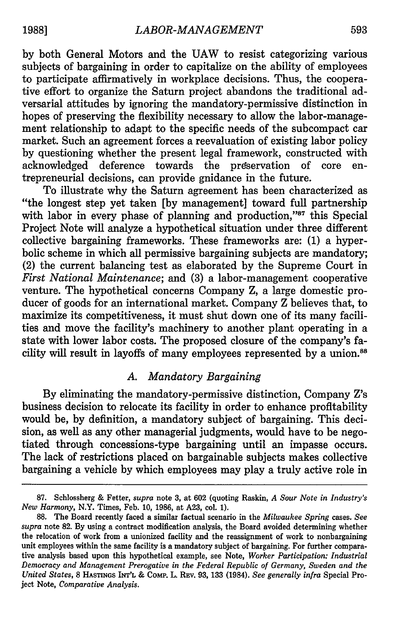by both General Motors and the UAW to resist categorizing various subjects of bargaining in order to capitalize on the ability of employees to participate affirmatively in workplace decisions. Thus, the cooperative effort to organize the Saturn project abandons the traditional adversarial attitudes by ignoring the mandatory-permissive distinction in hopes of preserving the flexibility necessary to allow the labor-management relationship to adapt to the specific needs of the subcompact car market. Such an agreement forces a reevaluation of existing labor policy by questioning whether the present legal framework, constructed with acknowledged deference towards the preservation of core entrepreneurial decisions, can provide gnidance in the future.

To illustrate why the Saturn agreement has been characterized as "the longest step yet taken [by management] toward full partnership with labor in every phase of planning and production,"<sup>87</sup> this Special Project Note will analyze a hypothetical situation under three different collective bargaining frameworks. These frameworks are: (1) a hyperbolic scheme in which all permissive bargaining subjects are mandatory; (2) the current balancing test as elaborated by the Supreme Court in *First National Maintenance;* and (3) a labor-management cooperative venture. The hypothetical concerns Company Z, a large domestic producer of goods for an international market. Company Z believes that, to maximize its competitiveness, it must shut down one of its many facilities and move the facility's machinery to another plant operating in a state with lower labor costs. The proposed closure of the company's facility will result in layoffs of many employees represented by a union.<sup>88</sup>

## *A. Mandatory Bargaining*

By eliminating the mandatory-permissive distinction, Company Z's business decision to relocate its facility in order to enhance profitability would be, by definition, a mandatory subject of bargaining. This decision, as well as any other managerial judgments, would have to be negotiated through concessions-type bargaining until an impasse occurs. The lack of restrictions placed on bargainable subjects makes collective bargaining a vehicle by which employees may play a truly active role in

<sup>87.</sup> Schlossberg & Fetter, *supra* note 3, at 602 (quoting Raskin, *A Sour Note in Industry's New Harmony,* N.Y. Times, Feb. 10, 1986, at A23, col. 1).

**<sup>88.</sup>** The Board recently faced a similar factual scenario in the *Milwaukee Spring* cases. *See supra* note 82. By using a contract modification analysis, the Board avoided determining whether the relocation of work from a unionized facility and the reassignment of work to nonbargaining unit employees within the same facility is a mandatory subject of bargaining. For further comparative analysis based upon this hypothetical example, see Note, *Worker Participation: Industrial Democracy and Management Prerogative in the Federal Republic of Germany, Sweden and the United States,* 8 **HASTINGS INT'L** & CoMP. L. REv. 93, 133 (1984). *See generally infra* Special Project Note, *Comparative Analysis.*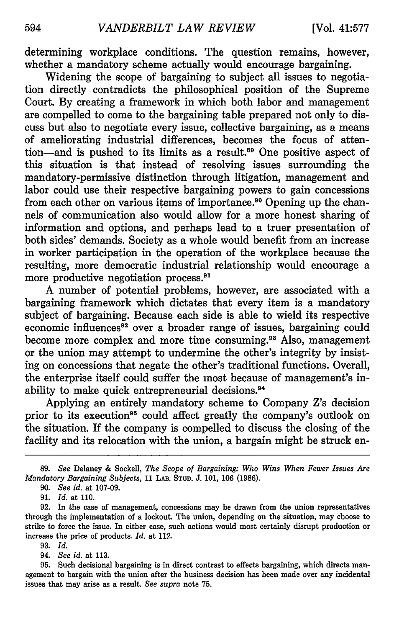determining workplace conditions. The question remains, however, whether a mandatory scheme actually would encourage bargaining.

Widening the scope of bargaining to subject all issues to negotiation directly contradicts the philosophical position of the Supreme Court. By creating a framework in which both labor and management are compelled to come to the bargaining table prepared not only to discuss but also to negotiate every issue, collective bargaining, as a means of ameliorating industrial differences, becomes the focus of attention-and is pushed to its limits as a result.<sup>89</sup> One positive aspect of this situation is that instead of resolving issues surrounding the mandatory-permissive distinction through litigation, management and labor could use their respective bargaining powers to gain concessions from each other on various items of importance.<sup>90</sup> Opening up the channels of communication also would allow for a more honest sharing of information and options, and perhaps lead to a truer presentation of both sides' demands. Society as a whole would benefit from an increase in worker participation in the operation of the workplace because the resulting, more democratic industrial relationship would encourage a more productive negotiation process.<sup>91</sup>

A number of potential problems, however, are associated with a bargaining framework which dictates that every item is a mandatory subject of bargaining. Because each side is able to wield its respective economic influences<sup>92</sup> over a broader range of issues, bargaining could become more complex and more time consuming.<sup>93</sup> Also, management or the union may attempt to undermine the other's integrity by insisting on concessions that negate the other's traditional functions. Overall, the enterprise itself could suffer the most because of management's inability to make quick entrepreneurial decisions.<sup>94</sup>

Applying an entirely mandatory scheme to Company Z's decision prior to its execution<sup>95</sup> could affect greatly the company's outlook on the situation. If the company is compelled to discuss the closing of the facility and its relocation with the union, a bargain might be struck en-

- 93. *Id.*
- 94. *See id.* at 113.

<sup>89.</sup> *See* Delaney & Sockell, *The Scope of Bargaining: Who Wins When Fewer Issues Are Mandatory Bargaining Subjects,* 11 **LAB. STUD.** J. 101, 106 (1986).

<sup>90.</sup> *See id.* at 107-09.

<sup>91.</sup> *Id.* at 110.

<sup>92.</sup> In the case of management, concessions may be drawn from the union representatives through the implementation of a lockout. The union, depending on the situation, may choose to strike to force the issue. In either case, such actions would most certainly disrupt production or increase the price of products. *Id.* at 112.

<sup>95.</sup> Such decisional bargaining is in direct contrast to effects bargaining, which directs management to bargain with the union after the business decision has been made over any incidental issues that may arise as a result. *See supra* note 75.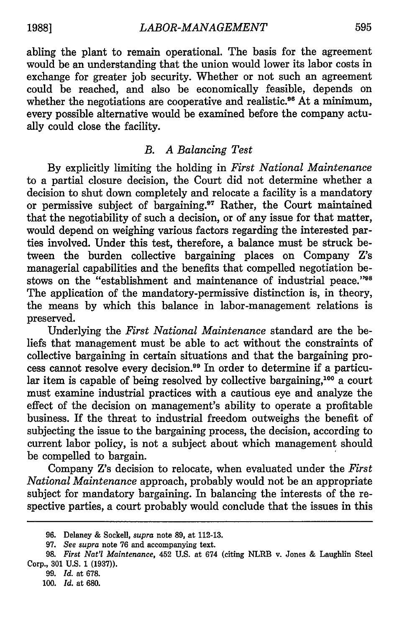abling the plant to remain operational. The basis for the agreement would be an understanding that the union would lower its labor costs in exchange for greater job security. Whether or not such an agreement could be reached, and also be economically feasible, depends on whether the negotiations are cooperative and realistic.<sup>96</sup> At a minimum, every possible alternative would be examined before the company actually could close the facility.

## *B. A Balancing Test*

By explicitly limiting the holding in *First National Maintenance* to a partial closure decision, the Court did not determine whether a decision to shut down completely and relocate a facility is a mandatory or permissive subject of bargaining.<sup>97</sup> Rather, the Court maintained that the negotiability of such a decision, or of any issue for that matter, would depend on weighing various factors regarding the interested parties involved. Under this test, therefore, a balance must be struck between the burden collective bargaining places on Company Z's managerial capabilities and the benefits that compelled negotiation bestows on the "establishment and maintenance of industrial peace."<sup>98</sup> The application of the mandatory-permissive distinction is, in theory, the means by which this balance in labor-management relations is preserved.

Underlying the *First National Maintenance* standard are the beliefs that management must be able to act without the constraints of collective bargaining in certain situations and that the bargaining process cannot resolve every decision.<sup>99</sup> In order to determine if a particular item is capable of being resolved by collective bargaining,<sup>100</sup> a court must examine industrial practices with a cautious eye and analyze the effect of the decision on management's ability to operate a profitable business. If the threat to industrial freedom outweighs the benefit of subjecting the issue to the bargaining process, the decision, according to current labor policy, is not a subject about which management should be compelled to bargain.

Company Z's decision to relocate, when evaluated under the *First National Maintenance* approach, probably would not be an appropriate subject for mandatory bargaining. In balancing the interests of the respective parties, a court probably would conclude that the issues in this

<sup>96.</sup> Delaney & Sockell, *supra* note 89, at **112-13.**

<sup>97.</sup> *See supra* note 76 and accompanying text.

<sup>98.</sup> *First Nat'l Maintenance,* 452 U.S. at 674 (citing NLRB v. Jones & Laughlin Steel Corp., **301** U.S. 1 (1937)).

<sup>99.</sup> *Id.* at 678.

*<sup>100.</sup> Id.* at 680.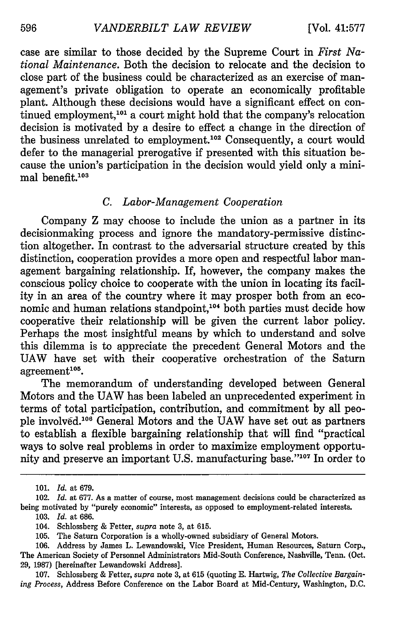case are similar to those decided by the Supreme Court in *First National Maintenance.* Both the decision to relocate and the decision to close part of the business could be characterized as an exercise of management's private obligation to operate an economically profitable plant. Although these decisions would have a significant effect on continued employment,<sup>101</sup> a court might hold that the company's relocation decision is motivated by a desire to effect a change in the direction of the business unrelated to employment.<sup>102</sup> Consequently, a court would defer to the managerial prerogative if presented with this situation because the union's participation in the decision would yield only a minimal benefit. $103$ 

## *C. Labor-Management Cooperation*

Company Z may choose to include the union as a partner in its decisionmaking process and ignore the mandatory-permissive distinction altogether. In contrast to the adversarial structure created by this distinction, cooperation provides a more open and respectful labor management bargaining relationship. If, however, the company makes the conscious policy choice to cooperate with the union in locating its facility in an area of the country where it may prosper both from an economic and human relations standpoint,<sup>104</sup> both parties must decide how cooperative their relationship will be given the current labor policy. Perhaps the most insightful means by which to understand and solve this dilemma is to appreciate the precedent General Motors and the UAW have set with their cooperative orchestration of the Saturn agreement<sup>105</sup>.<br>The memorandum of understanding developed between General

Motors and the UAW has been labeled an unprecedented experiment in terms of total participation, contribution, and commitment by all people involved.<sup>106</sup> General Motors and the UAW have set out as partners to establish a flexible bargaining relationship that will find "practical ways to solve real problems in order to maximize employment opportunity and preserve an important U.S. manufacturing base."107 In order to

<sup>101.</sup> *Id.* at 679.

<sup>102.</sup> *Id.* at 677. As a matter of course, most management decisions could be characterized as being motivated by "purely economic" interests, as opposed to employment-related interests.

<sup>103.</sup> *Id.* at 686.

<sup>104.</sup> Schlossberg & Fetter, *supra* note 3, at 615.

<sup>105.</sup> The Saturn Corporation is a wholly-owned subsidiary of General Motors.

<sup>106.</sup> Address by James L. Lewandowski, Vice President, Human Resources, Saturn Corp., The American Society of Personnel Administrators Mid-South Conference, Nashville, Tenn. (Oct. 29, 1987) [hereinafter Lewandowski Address].

<sup>107.</sup> Schlossberg & Fetter, *supra* note 3, at 615 (quoting E. Hartwig, *The Collective Bargaining Process,* Address Before Conference on the Labor Board at Mid-Century, Washington, D.C.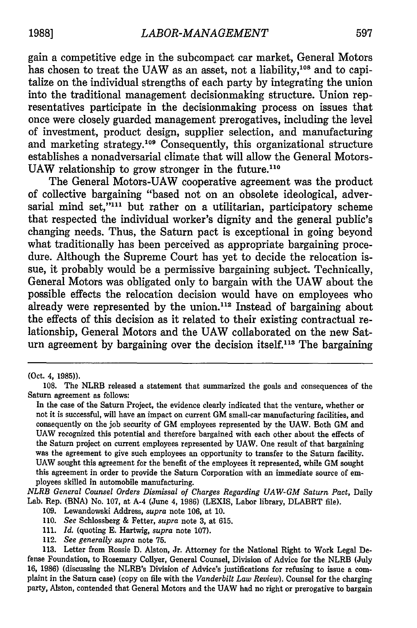gain a competitive edge in the subcompact car market, General Motors has chosen to treat the UAW as an asset, not a liability,<sup>108</sup> and to capitalize on the individual strengths of each party **by** integrating the union into the traditional management decisionmaking structure. Union representatives participate in the decisionmaking process on issues that once were closely guarded management prerogatives, including the level of investment, product design, supplier selection, and manufacturing and marketing strategy.<sup>109</sup> Consequently, this organizational structure establishes a nonadversarial climate that will allow the General Motors-UAW relationship to grow stronger in the future.<sup>110</sup>

The General Motors-UAW cooperative agreement was the product of collective bargaining "based not on an obsolete ideological, adversarial mind set,"<sup>111</sup> but rather on a utilitarian, participatory scheme that respected the individual worker's dignity and the general public's changing needs. Thus, the Saturn pact is exceptional in going beyond what traditionally has been perceived as appropriate bargaining procedure. Although the Supreme Court has yet to decide the relocation issue, it probably would be a permissive bargaining subject. Technically, General Motors was obligated only to bargain with the **UAW** about the possible effects the relocation decision would have on employees who already were represented by the union.<sup>112</sup> Instead of bargaining about the effects of this decision as it related to their existing contractual relationship, General Motors and the **UAW** collaborated on the new Saturn agreement by bargaining over the decision itself.<sup>113</sup> The bargaining

<sup>(</sup>Oct. 4, **1985)).**

**<sup>108.</sup>** The NLRB released a statement that summarized the goals and consequences of the Saturn agreement as follows:

In the case of the Saturn Project, the evidence clearly indicated that the venture, whether or not it is successful, will have an impact on current **GM** small-car manufacturing facilities, and consequently on the **job** security of **GM** employees represented **by** the **UAW.** Both **GM** and **UAW** recognized this potential and therefore bargained with each other about the effects of the Saturn project on current employees represented **by UAW.** One result of that bargaining was the agreement to give such employees an opportunity to transfer to the Saturn facility. **UAW** sought this agreement for the benefit of the employees it represented, while **GM** sought this agreement in order to provide the Saturn Corporation with an immediate source of employees skilled in automobile manufacturing.

*NLRB General Counsel Orders Dismissal of Charges Regarding UAW-GM Saturn Pact,* Daily Lab. Rep. **(BNA)** No. **107,** at A-4 (June 4, **1986)** (LEXIS, Labor library, DLABRT file).

**<sup>109.</sup>** Lewandowski Address, *supra* note **106,** at **10.**

**<sup>110.</sup>** *See* Schlossberg **&** Fetter, *supra* note **3,** at **615.**

**<sup>111.</sup>** *Id.* (quoting **E.** Hartwig, *supra* note **107).**

<sup>112.</sup> *See generally supra* note **75.**

**<sup>113.</sup>** Letter from Rossie **D.** Alston, Jr. Attorney for the National Right to Work Legal Defense Foundation, to Rosemary Collyer, General Counsel, Division of Advice for the NLRB (July **16, 1986)** (discussing the NLRB's Division of Advice's justifications for refusing to issue a com- plaint in the Saturn case) (copy on file with the *Vanderbilt Law Review).* Counsel for the charging party, Alston, contended that General Motors and the **UAW** had no right or prerogative to bargain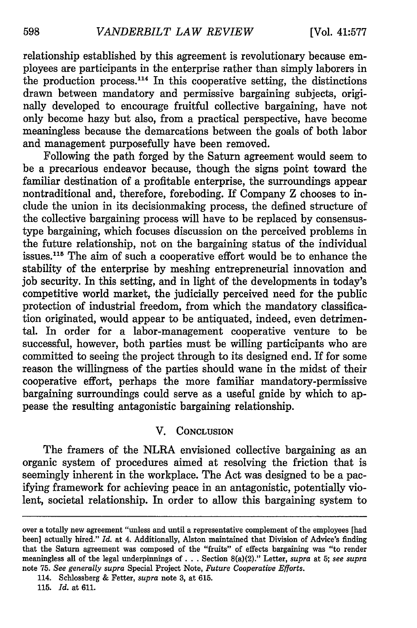relationship established by this agreement is revolutionary because employees are participants in the enterprise rather than simply laborers in the production process. 114 In this cooperative setting, the distinctions drawn between mandatory and permissive bargaining subjects, originally developed to encourage fruitful collective bargaining, have not only become hazy but also, from a practical perspective, have become meaningless because the demarcations between the goals of both labor and management purposefully have been removed.

Following the path forged by the Saturn agreement would seem to be a precarious endeavor because, though the signs point toward the familiar destination of a profitable enterprise, the surroundings appear nontraditional and, therefore, foreboding. If Company Z chooses to include the union in its decisionmaking process, the defined structure of the collective bargaining process will have to be replaced by consensustype bargaining, which focuses discussion on the perceived problems in the future relationship, not on the bargaining status of the individual issues.<sup>115</sup> The aim of such a cooperative effort would be to enhance the stability of the enterprise by meshing entrepreneurial innovation and job security. In this setting, and in light of the developments in today's competitive world market, the judicially perceived need for the public protection of industrial freedom, from which the mandatory classification originated, would appear to be antiquated, indeed, even detrimental. In order for a labor-management cooperative venture to be successful, however, both parties must be willing participants who are committed to seeing the project through to its designed end. If for some reason the willingness of the parties should wane in the midst of their cooperative effort, perhaps the more familiar mandatory-permissive bargaining surroundings could serve as a useful gnide by which to appease the resulting antagonistic bargaining relationship.

### V. **CONCLUSION**

The framers of the NLRA envisioned collective bargaining as an organic system of procedures aimed at resolving the friction that is seemingly inherent in the workplace. The Act was designed to be a pacifying framework for achieving peace in an antagonistic, potentially violent, societal relationship. In order to allow this bargaining system to

over a totally new agreement "unless and until a representative complement of the employees [had been] actually hired." *Id.* at 4. Additionally, Alston maintained that Division of Advice's finding that the Saturn agreement was composed of the "fruits" of effects bargaining was "to render meaningless all of the legal underpinnings **of. .** . Section 8(a)(2)." Letter, *supra* at 5; *see supra* note 75. *See generally supra* Special Project Note, *Future Cooperative Efforts.*

<sup>114.</sup> Schlossberg & Fetter, *supra* note 3, at 615.

<sup>115.</sup> *Id.* at 611.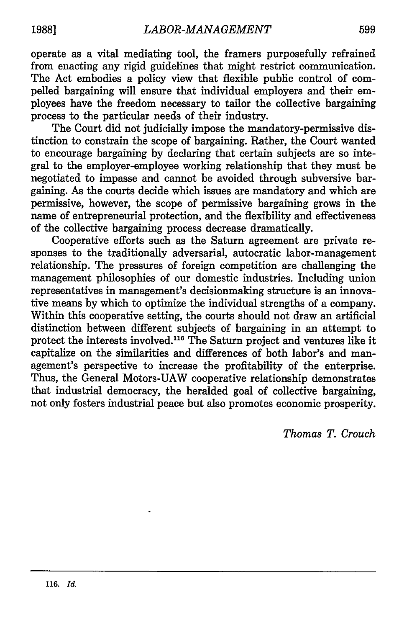operate as a vital mediating tool, the framers purposefully refrained from enacting any rigid guidelines that might restrict communication. The Act embodies a policy view that flexible public control of compelled bargaining will ensure that individual employers and their employees have the freedom necessary to tailor the collective bargaining process to the particular needs of their industry.

The Court did not judicially impose the mandatory-permissive distinction to constrain the scope of bargaining. Rather, the Court wanted to encourage bargaining **by** declaring that certain subjects are so integral to the employer-employee working relationship that they must be negotiated to impasse and cannot be avoided through subversive bargaining. As the courts decide which issues are mandatory and which are permissive, however, the scope of permissive bargaining grows in the name of entrepreneurial protection, and the flexibility and effectiveness of the collective bargaining process decrease dramatically.

Cooperative efforts such as the Saturn agreement are private responses to the traditionally adversarial, autocratic labor-management relationship. The pressures of foreign competition are challenging the management philosophies of our domestic industries. Including union representatives in management's decisionmaking structure is an innovative means **by** which to optimize the individual strengths of a company. Within this cooperative setting, the courts should not draw an artificial distinction between different subjects of bargaining in an attempt to protect the interests involved.116 The Saturn project and ventures like it capitalize on the similarities and differences of both labor's and management's perspective to increase the profitability of the enterprise. Thus, the General Motors-UAW cooperative relationship demonstrates that industrial democracy, the heralded goal of collective bargaining, not only fosters industrial peace but also promotes economic prosperity.

*Thomas T. Crouch*